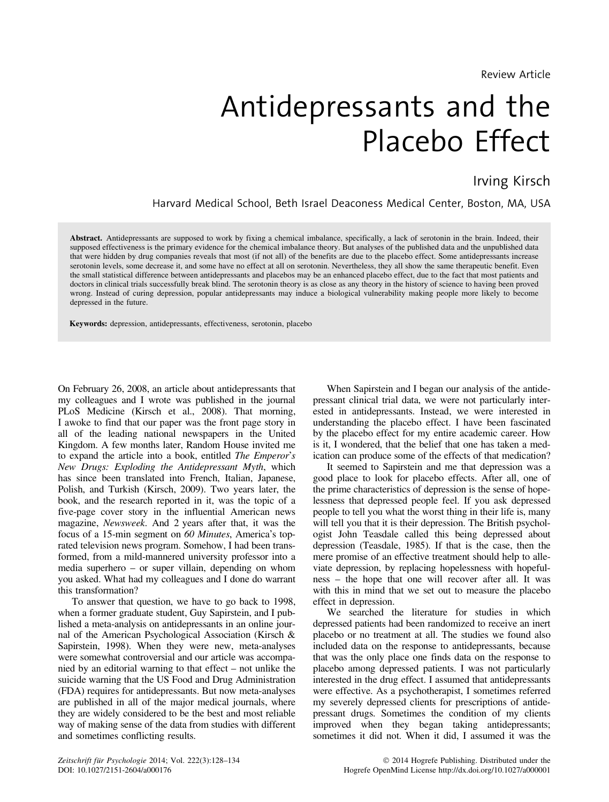# Antidepressants and the Placebo Effect

# Irving Kirsch

Harvard Medical School, Beth Israel Deaconess Medical Center, Boston, MA, USA

Abstract. Antidepressants are supposed to work by fixing a chemical imbalance, specifically, a lack of serotonin in the brain. Indeed, their supposed effectiveness is the primary evidence for the chemical imbalance theory. But analyses of the published data and the unpublished data that were hidden by drug companies reveals that most (if not all) of the benefits are due to the placebo effect. Some antidepressants increase serotonin levels, some decrease it, and some have no effect at all on serotonin. Nevertheless, they all show the same therapeutic benefit. Even the small statistical difference between antidepressants and placebos may be an enhanced placebo effect, due to the fact that most patients and doctors in clinical trials successfully break blind. The serotonin theory is as close as any theory in the history of science to having been proved wrong. Instead of curing depression, popular antidepressants may induce a biological vulnerability making people more likely to become depressed in the future.

Keywords: depression, antidepressants, effectiveness, serotonin, placebo

On February 26, 2008, an article about antidepressants that my colleagues and I wrote was published in the journal PLoS Medicine (Kirsch et al., 2008). That morning, I awoke to find that our paper was the front page story in all of the leading national newspapers in the United Kingdom. A few months later, Random House invited me to expand the article into a book, entitled The Emperor's New Drugs: Exploding the Antidepressant Myth, which has since been translated into French, Italian, Japanese, Polish, and Turkish (Kirsch, 2009). Two years later, the book, and the research reported in it, was the topic of a five-page cover story in the influential American news magazine, Newsweek. And 2 years after that, it was the focus of a 15-min segment on 60 Minutes, America's toprated television news program. Somehow, I had been transformed, from a mild-mannered university professor into a media superhero – or super villain, depending on whom you asked. What had my colleagues and I done do warrant this transformation?

To answer that question, we have to go back to 1998, when a former graduate student, Guy Sapirstein, and I published a meta-analysis on antidepressants in an online journal of the American Psychological Association (Kirsch & Sapirstein, 1998). When they were new, meta-analyses were somewhat controversial and our article was accompanied by an editorial warning to that effect – not unlike the suicide warning that the US Food and Drug Administration (FDA) requires for antidepressants. But now meta-analyses are published in all of the major medical journals, where they are widely considered to be the best and most reliable way of making sense of the data from studies with different and sometimes conflicting results.

When Sapirstein and I began our analysis of the antidepressant clinical trial data, we were not particularly interested in antidepressants. Instead, we were interested in understanding the placebo effect. I have been fascinated by the placebo effect for my entire academic career. How is it, I wondered, that the belief that one has taken a medication can produce some of the effects of that medication?

It seemed to Sapirstein and me that depression was a good place to look for placebo effects. After all, one of the prime characteristics of depression is the sense of hopelessness that depressed people feel. If you ask depressed people to tell you what the worst thing in their life is, many will tell you that it is their depression. The British psychologist John Teasdale called this being depressed about depression (Teasdale, 1985). If that is the case, then the mere promise of an effective treatment should help to alleviate depression, by replacing hopelessness with hopefulness – the hope that one will recover after all. It was with this in mind that we set out to measure the placebo effect in depression.

We searched the literature for studies in which depressed patients had been randomized to receive an inert placebo or no treatment at all. The studies we found also included data on the response to antidepressants, because that was the only place one finds data on the response to placebo among depressed patients. I was not particularly interested in the drug effect. I assumed that antidepressants were effective. As a psychotherapist, I sometimes referred my severely depressed clients for prescriptions of antidepressant drugs. Sometimes the condition of my clients improved when they began taking antidepressants; sometimes it did not. When it did, I assumed it was the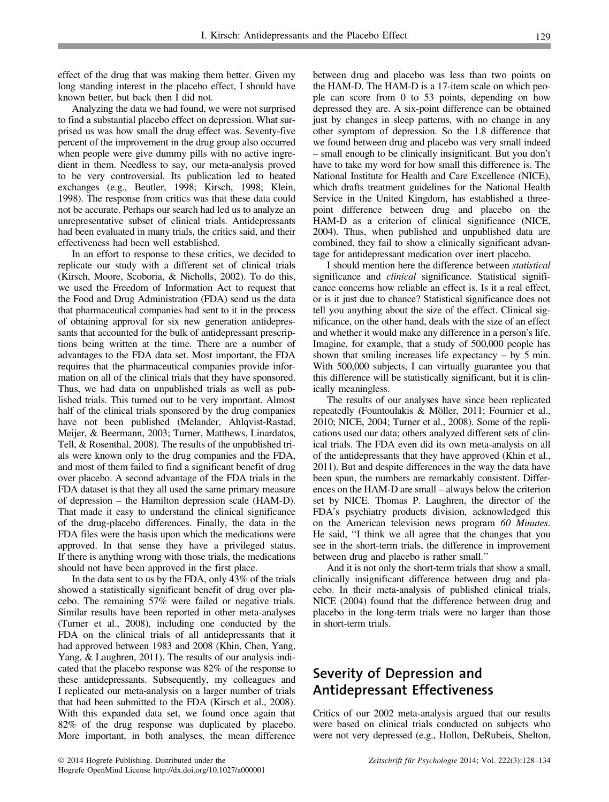effect of the drug that was making them better. Given my long standing interest in the placebo effect, I should have known better, but back then I did not.

Analyzing the data we had found, we were not surprised to find a substantial placebo effect on depression. What surprised us was how small the drug effect was. Seventy-five percent of the improvement in the drug group also occurred when people were give dummy pills with no active ingredient in them. Needless to say, our meta-analysis proved to be very controversial. Its publication led to heated exchanges (e.g., Beutler, 1998; Kirsch, 1998; Klein, 1998). The response from critics was that these data could not be accurate. Perhaps our search had led us to analyze an unrepresentative subset of clinical trials. Antidepressants had been evaluated in many trials, the critics said, and their effectiveness had been well established.

In an effort to response to these critics, we decided to replicate our study with a different set of clinical trials (Kirsch, Moore, Scoboria, & Nicholls, 2002). To do this, we used the Freedom of Information Act to request that the Food and Drug Administration (FDA) send us the data that pharmaceutical companies had sent to it in the process of obtaining approval for six new generation antidepressants that accounted for the bulk of antidepressant prescriptions being written at the time. There are a number of advantages to the FDA data set. Most important, the FDA requires that the pharmaceutical companies provide information on all of the clinical trials that they have sponsored. Thus, we had data on unpublished trials as well as published trials. This turned out to be very important. Almost half of the clinical trials sponsored by the drug companies have not been published (Melander, Ahlqvist-Rastad, Meijer, & Beermann, 2003; Turner, Matthews, Linardatos, Tell, & Rosenthal, 2008). The results of the unpublished trials were known only to the drug companies and the FDA, and most of them failed to find a significant benefit of drug over placebo. A second advantage of the FDA trials in the FDA dataset is that they all used the same primary measure of depression – the Hamilton depression scale (HAM-D). That made it easy to understand the clinical significance of the drug-placebo differences. Finally, the data in the FDA files were the basis upon which the medications were approved. In that sense they have a privileged status. If there is anything wrong with those trials, the medications should not have been approved in the first place.

In the data sent to us by the FDA, only 43% of the trials showed a statistically significant benefit of drug over placebo. The remaining 57% were failed or negative trials. Similar results have been reported in other meta-analyses (Turner et al., 2008), including one conducted by the FDA on the clinical trials of all antidepressants that it had approved between 1983 and 2008 (Khin, Chen, Yang, Yang, & Laughren, 2011). The results of our analysis indicated that the placebo response was 82% of the response to these antidepressants. Subsequently, my colleagues and I replicated our meta-analysis on a larger number of trials that had been submitted to the FDA (Kirsch et al., 2008). With this expanded data set, we found once again that 82% of the drug response was duplicated by placebo. More important, in both analyses, the mean difference between drug and placebo was less than two points on the HAM-D. The HAM-D is a 17-item scale on which people can score from 0 to 53 points, depending on how depressed they are. A six-point difference can be obtained just by changes in sleep patterns, with no change in any other symptom of depression. So the 1.8 difference that we found between drug and placebo was very small indeed – small enough to be clinically insignificant. But you don't have to take my word for how small this difference is. The National Institute for Health and Care Excellence (NICE), which drafts treatment guidelines for the National Health Service in the United Kingdom, has established a threepoint difference between drug and placebo on the HAM-D as a criterion of clinical significance (NICE, 2004). Thus, when published and unpublished data are combined, they fail to show a clinically significant advantage for antidepressant medication over inert placebo.

I should mention here the difference between statistical significance and *clinical* significance. Statistical significance concerns how reliable an effect is. Is it a real effect, or is it just due to chance? Statistical significance does not tell you anything about the size of the effect. Clinical significance, on the other hand, deals with the size of an effect and whether it would make any difference in a person's life. Imagine, for example, that a study of 500,000 people has shown that smiling increases life expectancy – by 5 min. With 500,000 subjects, I can virtually guarantee you that this difference will be statistically significant, but it is clinically meaningless.

The results of our analyses have since been replicated repeatedly (Fountoulakis & Möller, 2011; Fournier et al., 2010; NICE, 2004; Turner et al., 2008). Some of the replications used our data; others analyzed different sets of clinical trials. The FDA even did its own meta-analysis on all of the antidepressants that they have approved (Khin et al., 2011). But and despite differences in the way the data have been spun, the numbers are remarkably consistent. Differences on the HAM-D are small – always below the criterion set by NICE. Thomas P. Laughren, the director of the FDA's psychiatry products division, acknowledged this on the American television news program 60 Minutes. He said, ''I think we all agree that the changes that you see in the short-term trials, the difference in improvement between drug and placebo is rather small.''

And it is not only the short-term trials that show a small, clinically insignificant difference between drug and placebo. In their meta-analysis of published clinical trials, NICE (2004) found that the difference between drug and placebo in the long-term trials were no larger than those in short-term trials.

## Severity of Depression and Antidepressant Effectiveness

Critics of our 2002 meta-analysis argued that our results were based on clinical trials conducted on subjects who were not very depressed (e.g., Hollon, DeRubeis, Shelton,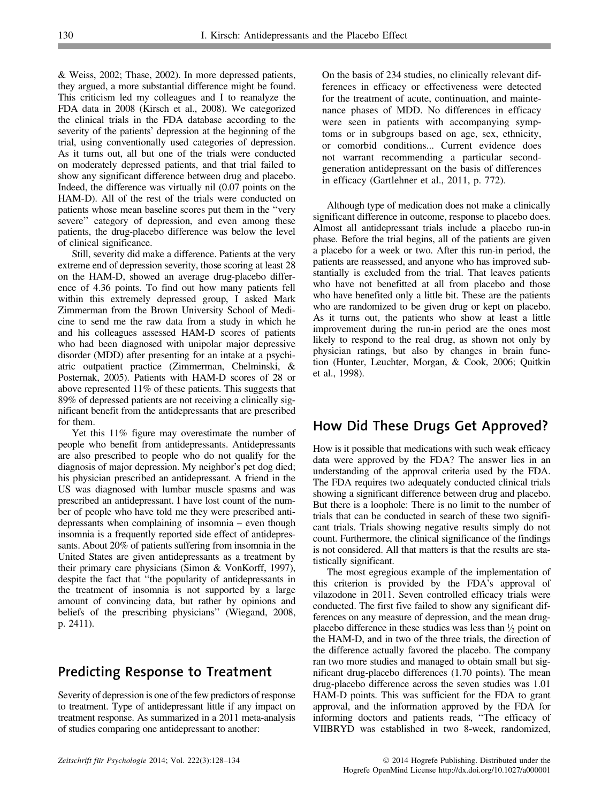& Weiss, 2002; Thase, 2002). In more depressed patients, they argued, a more substantial difference might be found. This criticism led my colleagues and I to reanalyze the FDA data in 2008 (Kirsch et al., 2008). We categorized the clinical trials in the FDA database according to the severity of the patients' depression at the beginning of the trial, using conventionally used categories of depression. As it turns out, all but one of the trials were conducted on moderately depressed patients, and that trial failed to show any significant difference between drug and placebo. Indeed, the difference was virtually nil (0.07 points on the HAM-D). All of the rest of the trials were conducted on patients whose mean baseline scores put them in the ''very severe'' category of depression, and even among these patients, the drug-placebo difference was below the level of clinical significance.

Still, severity did make a difference. Patients at the very extreme end of depression severity, those scoring at least 28 on the HAM-D, showed an average drug-placebo difference of 4.36 points. To find out how many patients fell within this extremely depressed group, I asked Mark Zimmerman from the Brown University School of Medicine to send me the raw data from a study in which he and his colleagues assessed HAM-D scores of patients who had been diagnosed with unipolar major depressive disorder (MDD) after presenting for an intake at a psychiatric outpatient practice (Zimmerman, Chelminski, & Posternak, 2005). Patients with HAM-D scores of 28 or above represented 11% of these patients. This suggests that 89% of depressed patients are not receiving a clinically significant benefit from the antidepressants that are prescribed for them.

Yet this 11% figure may overestimate the number of people who benefit from antidepressants. Antidepressants are also prescribed to people who do not qualify for the diagnosis of major depression. My neighbor's pet dog died; his physician prescribed an antidepressant. A friend in the US was diagnosed with lumbar muscle spasms and was prescribed an antidepressant. I have lost count of the number of people who have told me they were prescribed antidepressants when complaining of insomnia – even though insomnia is a frequently reported side effect of antidepressants. About 20% of patients suffering from insomnia in the United States are given antidepressants as a treatment by their primary care physicians (Simon & VonKorff, 1997), despite the fact that ''the popularity of antidepressants in the treatment of insomnia is not supported by a large amount of convincing data, but rather by opinions and beliefs of the prescribing physicians'' (Wiegand, 2008, p. 2411).

## Predicting Response to Treatment

Severity of depression is one of the few predictors of response to treatment. Type of antidepressant little if any impact on treatment response. As summarized in a 2011 meta-analysis of studies comparing one antidepressant to another:

On the basis of 234 studies, no clinically relevant differences in efficacy or effectiveness were detected for the treatment of acute, continuation, and maintenance phases of MDD. No differences in efficacy were seen in patients with accompanying symptoms or in subgroups based on age, sex, ethnicity, or comorbid conditions... Current evidence does not warrant recommending a particular secondgeneration antidepressant on the basis of differences in efficacy (Gartlehner et al., 2011, p. 772).

Although type of medication does not make a clinically significant difference in outcome, response to placebo does. Almost all antidepressant trials include a placebo run-in phase. Before the trial begins, all of the patients are given a placebo for a week or two. After this run-in period, the patients are reassessed, and anyone who has improved substantially is excluded from the trial. That leaves patients who have not benefitted at all from placebo and those who have benefited only a little bit. These are the patients who are randomized to be given drug or kept on placebo. As it turns out, the patients who show at least a little improvement during the run-in period are the ones most likely to respond to the real drug, as shown not only by physician ratings, but also by changes in brain function (Hunter, Leuchter, Morgan, & Cook, 2006; Quitkin et al., 1998).

## How Did These Drugs Get Approved?

How is it possible that medications with such weak efficacy data were approved by the FDA? The answer lies in an understanding of the approval criteria used by the FDA. The FDA requires two adequately conducted clinical trials showing a significant difference between drug and placebo. But there is a loophole: There is no limit to the number of trials that can be conducted in search of these two significant trials. Trials showing negative results simply do not count. Furthermore, the clinical significance of the findings is not considered. All that matters is that the results are statistically significant.

The most egregious example of the implementation of this criterion is provided by the FDA's approval of vilazodone in 2011. Seven controlled efficacy trials were conducted. The first five failed to show any significant differences on any measure of depression, and the mean drugplacebo difference in these studies was less than  $\frac{1}{2}$  point on the HAM-D, and in two of the three trials, the direction of the difference actually favored the placebo. The company ran two more studies and managed to obtain small but significant drug-placebo differences (1.70 points). The mean drug-placebo difference across the seven studies was 1.01 HAM-D points. This was sufficient for the FDA to grant approval, and the information approved by the FDA for informing doctors and patients reads, ''The efficacy of VIIBRYD was established in two 8-week, randomized,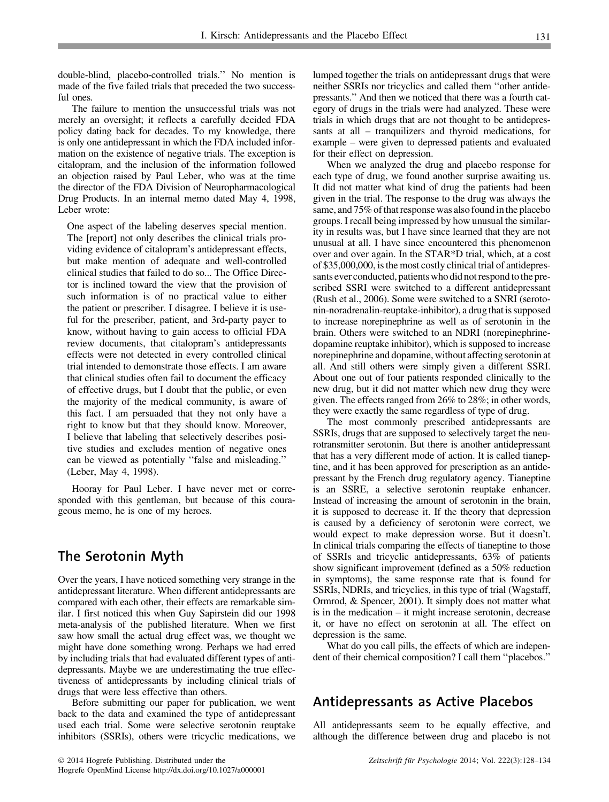double-blind, placebo-controlled trials.'' No mention is made of the five failed trials that preceded the two successful ones.

The failure to mention the unsuccessful trials was not merely an oversight; it reflects a carefully decided FDA policy dating back for decades. To my knowledge, there is only one antidepressant in which the FDA included information on the existence of negative trials. The exception is citalopram, and the inclusion of the information followed an objection raised by Paul Leber, who was at the time the director of the FDA Division of Neuropharmacological Drug Products. In an internal memo dated May 4, 1998, Leber wrote:

One aspect of the labeling deserves special mention. The [report] not only describes the clinical trials providing evidence of citalopram's antidepressant effects, but make mention of adequate and well-controlled clinical studies that failed to do so... The Office Director is inclined toward the view that the provision of such information is of no practical value to either the patient or prescriber. I disagree. I believe it is useful for the prescriber, patient, and 3rd-party payer to know, without having to gain access to official FDA review documents, that citalopram's antidepressants effects were not detected in every controlled clinical trial intended to demonstrate those effects. I am aware that clinical studies often fail to document the efficacy of effective drugs, but I doubt that the public, or even the majority of the medical community, is aware of this fact. I am persuaded that they not only have a right to know but that they should know. Moreover, I believe that labeling that selectively describes positive studies and excludes mention of negative ones can be viewed as potentially ''false and misleading.'' (Leber, May 4, 1998).

Hooray for Paul Leber. I have never met or corresponded with this gentleman, but because of this courageous memo, he is one of my heroes.

#### The Serotonin Myth

Over the years, I have noticed something very strange in the antidepressant literature. When different antidepressants are compared with each other, their effects are remarkable similar. I first noticed this when Guy Sapirstein did our 1998 meta-analysis of the published literature. When we first saw how small the actual drug effect was, we thought we might have done something wrong. Perhaps we had erred by including trials that had evaluated different types of antidepressants. Maybe we are underestimating the true effectiveness of antidepressants by including clinical trials of drugs that were less effective than others.

Before submitting our paper for publication, we went back to the data and examined the type of antidepressant used each trial. Some were selective serotonin reuptake inhibitors (SSRIs), others were tricyclic medications, we lumped together the trials on antidepressant drugs that were neither SSRIs nor tricyclics and called them ''other antidepressants.'' And then we noticed that there was a fourth category of drugs in the trials were had analyzed. These were trials in which drugs that are not thought to be antidepressants at all – tranquilizers and thyroid medications, for example – were given to depressed patients and evaluated for their effect on depression.

When we analyzed the drug and placebo response for each type of drug, we found another surprise awaiting us. It did not matter what kind of drug the patients had been given in the trial. The response to the drug was always the same, and 75% of that response was also found in the placebo groups. I recall being impressed by how unusual the similarity in results was, but I have since learned that they are not unusual at all. I have since encountered this phenomenon over and over again. In the STAR\*D trial, which, at a cost of \$35,000,000, is the most costly clinical trial of antidepressants ever conducted, patients who did not respond to the prescribed SSRI were switched to a different antidepressant (Rush et al., 2006). Some were switched to a SNRI (serotonin-noradrenalin-reuptake-inhibitor), a drug that is supposed to increase norepinephrine as well as of serotonin in the brain. Others were switched to an NDRI (norepinephrinedopamine reuptake inhibitor), which is supposed to increase norepinephrine and dopamine, without affecting serotonin at all. And still others were simply given a different SSRI. About one out of four patients responded clinically to the new drug, but it did not matter which new drug they were given. The effects ranged from 26% to 28%; in other words, they were exactly the same regardless of type of drug.

The most commonly prescribed antidepressants are SSRIs, drugs that are supposed to selectively target the neurotransmitter serotonin. But there is another antidepressant that has a very different mode of action. It is called tianeptine, and it has been approved for prescription as an antidepressant by the French drug regulatory agency. Tianeptine is an SSRE, a selective serotonin reuptake enhancer. Instead of increasing the amount of serotonin in the brain, it is supposed to decrease it. If the theory that depression is caused by a deficiency of serotonin were correct, we would expect to make depression worse. But it doesn't. In clinical trials comparing the effects of tianeptine to those of SSRIs and tricyclic antidepressants, 63% of patients show significant improvement (defined as a 50% reduction in symptoms), the same response rate that is found for SSRIs, NDRIs, and tricyclics, in this type of trial (Wagstaff, Ormrod, & Spencer, 2001). It simply does not matter what is in the medication – it might increase serotonin, decrease it, or have no effect on serotonin at all. The effect on depression is the same.

What do you call pills, the effects of which are independent of their chemical composition? I call them ''placebos.''

#### Antidepressants as Active Placebos

All antidepressants seem to be equally effective, and although the difference between drug and placebo is not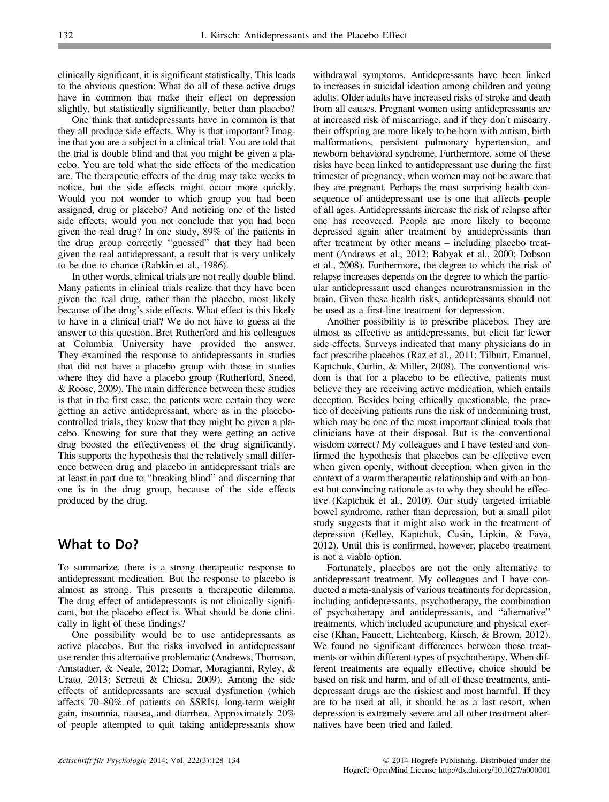clinically significant, it is significant statistically. This leads to the obvious question: What do all of these active drugs have in common that make their effect on depression slightly, but statistically significantly, better than placebo?

One think that antidepressants have in common is that they all produce side effects. Why is that important? Imagine that you are a subject in a clinical trial. You are told that the trial is double blind and that you might be given a placebo. You are told what the side effects of the medication are. The therapeutic effects of the drug may take weeks to notice, but the side effects might occur more quickly. Would you not wonder to which group you had been assigned, drug or placebo? And noticing one of the listed side effects, would you not conclude that you had been given the real drug? In one study, 89% of the patients in the drug group correctly ''guessed'' that they had been given the real antidepressant, a result that is very unlikely to be due to chance (Rabkin et al., 1986).

In other words, clinical trials are not really double blind. Many patients in clinical trials realize that they have been given the real drug, rather than the placebo, most likely because of the drug's side effects. What effect is this likely to have in a clinical trial? We do not have to guess at the answer to this question. Bret Rutherford and his colleagues at Columbia University have provided the answer. They examined the response to antidepressants in studies that did not have a placebo group with those in studies where they did have a placebo group (Rutherford, Sneed, & Roose, 2009). The main difference between these studies is that in the first case, the patients were certain they were getting an active antidepressant, where as in the placebocontrolled trials, they knew that they might be given a placebo. Knowing for sure that they were getting an active drug boosted the effectiveness of the drug significantly. This supports the hypothesis that the relatively small difference between drug and placebo in antidepressant trials are at least in part due to ''breaking blind'' and discerning that one is in the drug group, because of the side effects produced by the drug.

#### What to Do?

To summarize, there is a strong therapeutic response to antidepressant medication. But the response to placebo is almost as strong. This presents a therapeutic dilemma. The drug effect of antidepressants is not clinically significant, but the placebo effect is. What should be done clinically in light of these findings?

One possibility would be to use antidepressants as active placebos. But the risks involved in antidepressant use render this alternative problematic (Andrews, Thomson, Amstadter, & Neale, 2012; Domar, Moragianni, Ryley, & Urato, 2013; Serretti & Chiesa, 2009). Among the side effects of antidepressants are sexual dysfunction (which affects 70–80% of patients on SSRIs), long-term weight gain, insomnia, nausea, and diarrhea. Approximately 20% of people attempted to quit taking antidepressants show

withdrawal symptoms. Antidepressants have been linked to increases in suicidal ideation among children and young adults. Older adults have increased risks of stroke and death from all causes. Pregnant women using antidepressants are at increased risk of miscarriage, and if they don't miscarry, their offspring are more likely to be born with autism, birth malformations, persistent pulmonary hypertension, and newborn behavioral syndrome. Furthermore, some of these risks have been linked to antidepressant use during the first trimester of pregnancy, when women may not be aware that they are pregnant. Perhaps the most surprising health consequence of antidepressant use is one that affects people of all ages. Antidepressants increase the risk of relapse after one has recovered. People are more likely to become depressed again after treatment by antidepressants than after treatment by other means – including placebo treatment (Andrews et al., 2012; Babyak et al., 2000; Dobson et al., 2008). Furthermore, the degree to which the risk of relapse increases depends on the degree to which the particular antidepressant used changes neurotransmission in the brain. Given these health risks, antidepressants should not be used as a first-line treatment for depression.

Another possibility is to prescribe placebos. They are almost as effective as antidepressants, but elicit far fewer side effects. Surveys indicated that many physicians do in fact prescribe placebos (Raz et al., 2011; Tilburt, Emanuel, Kaptchuk, Curlin, & Miller, 2008). The conventional wisdom is that for a placebo to be effective, patients must believe they are receiving active medication, which entails deception. Besides being ethically questionable, the practice of deceiving patients runs the risk of undermining trust, which may be one of the most important clinical tools that clinicians have at their disposal. But is the conventional wisdom correct? My colleagues and I have tested and confirmed the hypothesis that placebos can be effective even when given openly, without deception, when given in the context of a warm therapeutic relationship and with an honest but convincing rationale as to why they should be effective (Kaptchuk et al., 2010). Our study targeted irritable bowel syndrome, rather than depression, but a small pilot study suggests that it might also work in the treatment of depression (Kelley, Kaptchuk, Cusin, Lipkin, & Fava, 2012). Until this is confirmed, however, placebo treatment is not a viable option.

Fortunately, placebos are not the only alternative to antidepressant treatment. My colleagues and I have conducted a meta-analysis of various treatments for depression, including antidepressants, psychotherapy, the combination of psychotherapy and antidepressants, and ''alternative'' treatments, which included acupuncture and physical exercise (Khan, Faucett, Lichtenberg, Kirsch, & Brown, 2012). We found no significant differences between these treatments or within different types of psychotherapy. When different treatments are equally effective, choice should be based on risk and harm, and of all of these treatments, antidepressant drugs are the riskiest and most harmful. If they are to be used at all, it should be as a last resort, when depression is extremely severe and all other treatment alternatives have been tried and failed.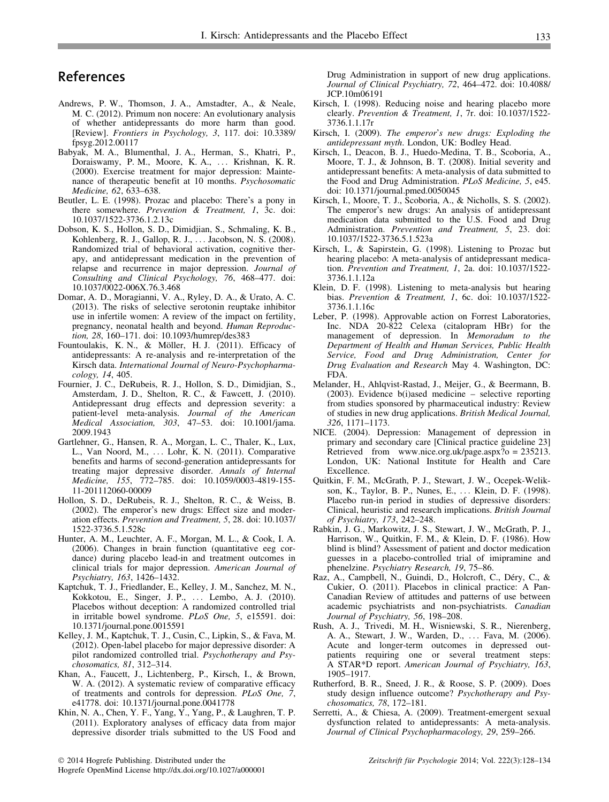#### References

- Andrews, P. W., Thomson, J. A., Amstadter, A., & Neale, M. C. (2012). Primum non nocere: An evolutionary analysis of whether antidepressants do more harm than good. [Review]. Frontiers in Psychology, 3, 117. doi: 10.3389/ fpsyg.2012.00117
- Babyak, M. A., Blumenthal, J. A., Herman, S., Khatri, P., Doraiswamy, P. M., Moore, K. A., ... Krishnan, K. R. (2000). Exercise treatment for major depression: Maintenance of therapeutic benefit at 10 months. Psychosomatic Medicine, 62, 633–638.
- Beutler, L. E. (1998). Prozac and placebo: There's a pony in there somewhere. Prevention & Treatment, 1, 3c. doi: 10.1037/1522-3736.1.2.13c
- Dobson, K. S., Hollon, S. D., Dimidjian, S., Schmaling, K. B., Kohlenberg, R. J., Gallop, R. J., ... Jacobson, N. S. (2008). Randomized trial of behavioral activation, cognitive therapy, and antidepressant medication in the prevention of relapse and recurrence in major depression. Journal of Consulting and Clinical Psychology, 76, 468–477. doi: 10.1037/0022-006X.76.3.468
- Domar, A. D., Moragianni, V. A., Ryley, D. A., & Urato, A. C. (2013). The risks of selective serotonin reuptake inhibitor use in infertile women: A review of the impact on fertility, pregnancy, neonatal health and beyond. Human Reproduction, 28, 160–171. doi: 10.1093/humrep/des383
- Fountoulakis, K. N., & Möller, H. J. (2011). Efficacy of antidepressants: A re-analysis and re-interpretation of the Kirsch data. International Journal of Neuro-Psychopharmacology, 14, 405.
- Fournier, J. C., DeRubeis, R. J., Hollon, S. D., Dimidjian, S., Amsterdam, J. D., Shelton, R. C., & Fawcett, J. (2010). Antidepressant drug effects and depression severity: a patient-level meta-analysis. Journal of the American Medical Association, 303, 47–53. doi: 10.1001/jama. 2009.1943
- Gartlehner, G., Hansen, R. A., Morgan, L. C., Thaler, K., Lux, L., Van Noord, M., ... Lohr, K. N. (2011). Comparative benefits and harms of second-generation antidepressants for treating major depressive disorder. Annals of Internal Medicine, 155, 772–785. doi: 10.1059/0003-4819-155- 11-201112060-00009
- Hollon, S. D., DeRubeis, R. J., Shelton, R. C., & Weiss, B. (2002). The emperor's new drugs: Effect size and moderation effects. Prevention and Treatment, 5, 28. doi: 10.1037/ 1522-3736.5.1.528c
- Hunter, A. M., Leuchter, A. F., Morgan, M. L., & Cook, I. A. (2006). Changes in brain function (quantitative eeg cordance) during placebo lead-in and treatment outcomes in clinical trials for major depression. American Journal of Psychiatry, 163, 1426–1432.
- Kaptchuk, T. J., Friedlander, E., Kelley, J. M., Sanchez, M. N., Kokkotou, E., Singer, J. P., ... Lembo, A. J. (2010). Placebos without deception: A randomized controlled trial in irritable bowel syndrome. PLoS One, 5, e15591. doi: 10.1371/journal.pone.0015591
- Kelley, J. M., Kaptchuk, T. J., Cusin, C., Lipkin, S., & Fava, M. (2012). Open-label placebo for major depressive disorder: A pilot randomized controlled trial. Psychotherapy and Psychosomatics, 81, 312–314.
- Khan, A., Faucett, J., Lichtenberg, P., Kirsch, I., & Brown, W. A. (2012). A systematic review of comparative efficacy of treatments and controls for depression. PLoS One, 7, e41778. doi: 10.1371/journal.pone.0041778
- Khin, N. A., Chen, Y. F., Yang, Y., Yang, P., & Laughren, T. P. (2011). Exploratory analyses of efficacy data from major depressive disorder trials submitted to the US Food and

Drug Administration in support of new drug applications. Journal of Clinical Psychiatry, 72, 464–472. doi: 10.4088/ JCP.10m06191

- Kirsch, I. (1998). Reducing noise and hearing placebo more clearly. Prevention & Treatment, 1, 7r. doi: 10.1037/1522- 3736.1.1.17r
- Kirsch, I. (2009). The emperor's new drugs: Exploding the antidepressant myth. London, UK: Bodley Head.
- Kirsch, I., Deacon, B. J., Huedo-Medina, T. B., Scoboria, A., Moore, T. J., & Johnson, B. T. (2008). Initial severity and antidepressant benefits: A meta-analysis of data submitted to the Food and Drug Administration. PLoS Medicine, 5, e45. doi: 10.1371/journal.pmed.0050045
- Kirsch, I., Moore, T. J., Scoboria, A., & Nicholls, S. S. (2002). The emperor's new drugs: An analysis of antidepressant medication data submitted to the U.S. Food and Drug Administration. Prevention and Treatment, 5, 23. doi: 10.1037/1522-3736.5.1.523a
- Kirsch, I., & Sapirstein, G. (1998). Listening to Prozac but hearing placebo: A meta-analysis of antidepressant medication. Prevention and Treatment, 1, 2a. doi: 10.1037/1522- 3736.1.1.12a
- Klein, D. F. (1998). Listening to meta-analysis but hearing bias. Prevention & Treatment, 1, 6c. doi: 10.1037/1522- 3736.1.1.16c
- Leber, P. (1998). Approvable action on Forrest Laboratories, Inc. NDA 20-822 Celexa (citalopram HBr) for the management of depression. In Memoradum to the Department of Health and Human Services, Public Health Service, Food and Drug Administration, Center for Drug Evaluation and Research May 4. Washington, DC: FDA.
- Melander, H., Ahlqvist-Rastad, J., Meijer, G., & Beermann, B. (2003). Evidence b(i)ased medicine – selective reporting from studies sponsored by pharmaceutical industry: Review of studies in new drug applications. British Medical Journal, 326, 1171–1173.
- NICE. (2004). Depression: Management of depression in primary and secondary care [Clinical practice guideline 23] Retrieved from www.nice.org.uk/page.aspx?o = 235213. London, UK: National Institute for Health and Care Excellence.
- Quitkin, F. M., McGrath, P. J., Stewart, J. W., Ocepek-Welikson, K., Taylor, B. P., Nunes, E., ... Klein, D. F. (1998). Placebo run-in period in studies of depressive disorders: Clinical, heuristic and research implications. British Journal of Psychiatry, 173, 242–248.
- Rabkin, J. G., Markowitz, J. S., Stewart, J. W., McGrath, P. J., Harrison, W., Quitkin, F. M., & Klein, D. F. (1986). How blind is blind? Assessment of patient and doctor medication guesses in a placebo-controlled trial of imipramine and phenelzine. Psychiatry Research, 19, 75–86.
- Raz, A., Campbell, N., Guindi, D., Holcroft, C., Déry, C., & Cukier, O. (2011). Placebos in clinical practice: A Pan-Canadian Review of attitudes and patterns of use between academic psychiatrists and non-psychiatrists. Canadian Journal of Psychiatry, 56, 198–208.
- Rush, A. J., Trivedi, M. H., Wisniewski, S. R., Nierenberg, A. A., Stewart, J. W., Warden, D., ... Fava, M. (2006). Acute and longer-term outcomes in depressed outpatients requiring one or several treatment steps: A STAR\*D report. American Journal of Psychiatry, 163, 1905–1917.
- Rutherford, B. R., Sneed, J. R., & Roose, S. P. (2009). Does study design influence outcome? Psychotherapy and Psychosomatics, 78, 172–181.
- Serretti, A., & Chiesa, A. (2009). Treatment-emergent sexual dysfunction related to antidepressants: A meta-analysis. Journal of Clinical Psychopharmacology, 29, 259–266.